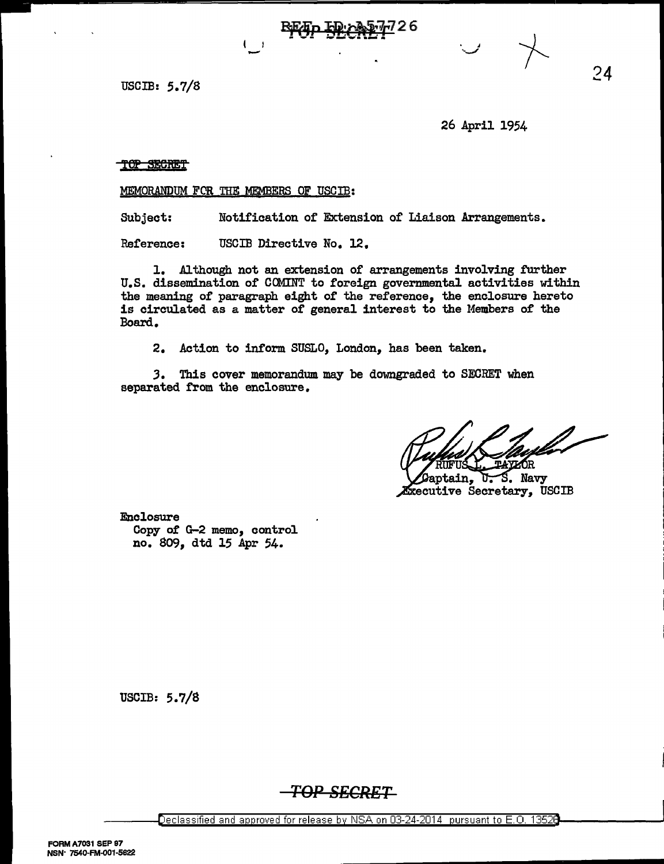USCIB: 5.7/8

26 April 1954

## TOP SECRET

MEMORANDUM FCR THE MEMBERS OF USCIB:

-

Subject: Notification of Extension of Liaison Arrangements.

Reference: USCIB Directive No. 12.

1. Although not an extension of arrangements involving further U.S. dissemination of COMINT to foreign governmental activities within the meaning of paragraph eight of the reference, the enclosure hereto is circulated as a matter of general interest to the Members of the Board.

2. Action to inform SUSLO, London, has been taken.

*3.* This cover memorandum may be downgraded to SECRET when separated from the enclosure.

aptain, S. Navy υ. *Executive Secretary*, USCIB

Enclosure Copy of G-2 memo, control no. 809, dtd 15 Apr 54.

USCIB: 5.7/8

**TOP SECRET**